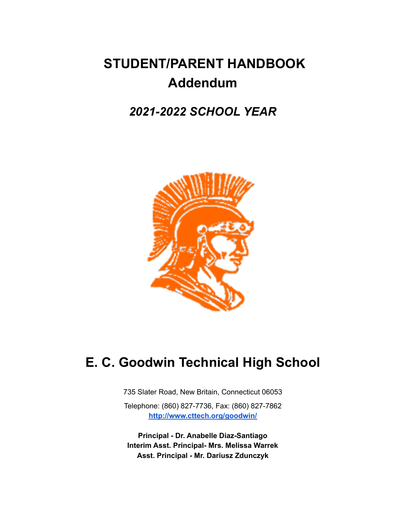# **STUDENT/PARENT HANDBOOK Addendum**

# *2021-2022 SCHOOL YEAR*



# **E. C. Goodwin Technical High School**

735 Slater Road, New Britain, Connecticut 06053

Telephone: (860) 827-7736, Fax: (860) 827-7862 **<http://www.cttech.org/goodwin/>**

**Principal - Dr. Anabelle Diaz-Santiago Interim Asst. Principal- Mrs. Melissa Warrek Asst. Principal - Mr. Dariusz Zdunczyk**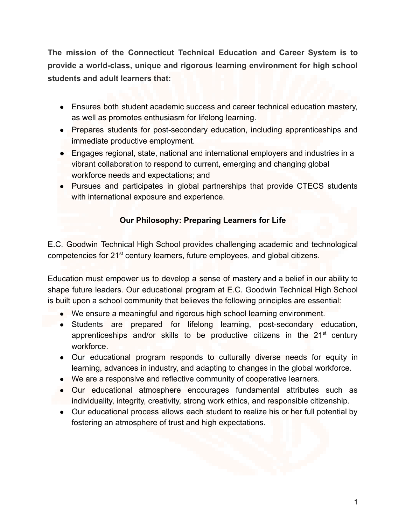**The mission of the Connecticut Technical Education and Career System is to provide a world-class, unique and rigorous learning environment for high school students and adult learners that:**

- Ensures both student academic success and career technical education mastery, as well as promotes enthusiasm for lifelong learning.
- Prepares students for post-secondary education, including apprenticeships and immediate productive employment.
- Engages regional, state, national and international employers and industries in a vibrant collaboration to respond to current, emerging and changing global workforce needs and expectations; and
- Pursues and participates in global partnerships that provide CTECS students with international exposure and experience.

### **Our Philosophy: Preparing Learners for Life**

E.C. Goodwin Technical High School provides challenging academic and technological competencies for 21st century learners, future employees, and global citizens.

Education must empower us to develop a sense of mastery and a belief in our ability to shape future leaders. Our educational program at E.C. Goodwin Technical High School is built upon a school community that believes the following principles are essential:

- We ensure a meaningful and rigorous high school learning environment.
- Students are prepared for lifelong learning, post-secondary education, apprenticeships and/or skills to be productive citizens in the 21<sup>st</sup> century workforce.
- Our educational program responds to culturally diverse needs for equity in learning, advances in industry, and adapting to changes in the global workforce.
- We are a responsive and reflective community of cooperative learners.
- Our educational atmosphere encourages fundamental attributes such as individuality, integrity, creativity, strong work ethics, and responsible citizenship.
- Our educational process allows each student to realize his or her full potential by fostering an atmosphere of trust and high expectations.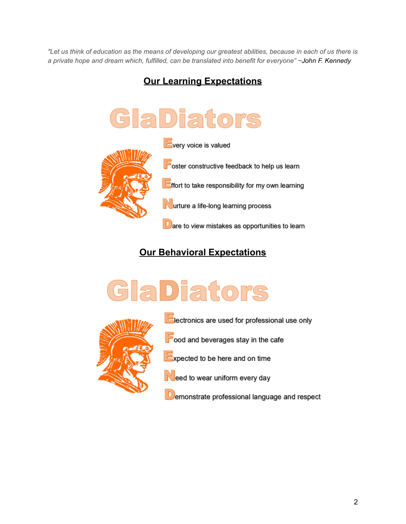"Let us think of education as the means of developing our greatest abilities, because in each of us there is *a private hope and dream which, fulfilled, can be translated into benefit for everyone" ~John F. [Kennedy](http://www.presidency.ucsb.edu/ws/?pid=24146)*

# **Our Learning Expectations**



# **Our Behavioral Expectations**





**Electronics are used for professional use only** 

cood and beverages stay in the cafe

Expected to be here and on time

eed to wear uniform every day

Demonstrate professional language and respect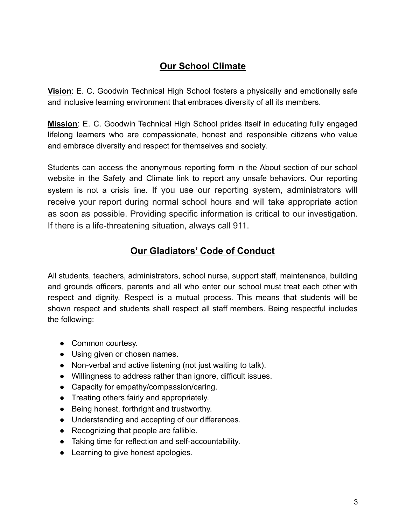# **Our School Climate**

**Vision**: E. C. Goodwin Technical High School fosters a physically and emotionally safe and inclusive learning environment that embraces diversity of all its members.

**Mission**: E. C. Goodwin Technical High School prides itself in educating fully engaged lifelong learners who are compassionate, honest and responsible citizens who value and embrace diversity and respect for themselves and society.

Students can access the anonymous reporting form in the About section of our school website in the Safety and Climate link to report any unsafe behaviors. Our reporting system is not a crisis line. If you use our reporting system, administrators will receive your report during normal school hours and will take appropriate action as soon as possible. Providing specific information is critical to our investigation. If there is a life-threatening situation, always call 911.

# **Our Gladiators' Code of Conduct**

All students, teachers, administrators, school nurse, support staff, maintenance, building and grounds officers, parents and all who enter our school must treat each other with respect and dignity. Respect is a mutual process. This means that students will be shown respect and students shall respect all staff members. Being respectful includes the following:

- Common courtesy.
- Using given or chosen names.
- Non-verbal and active listening (not just waiting to talk).
- Willingness to address rather than ignore, difficult issues.
- Capacity for empathy/compassion/caring.
- Treating others fairly and appropriately.
- Being honest, forthright and trustworthy.
- Understanding and accepting of our differences.
- Recognizing that people are fallible.
- Taking time for reflection and self-accountability.
- Learning to give honest apologies.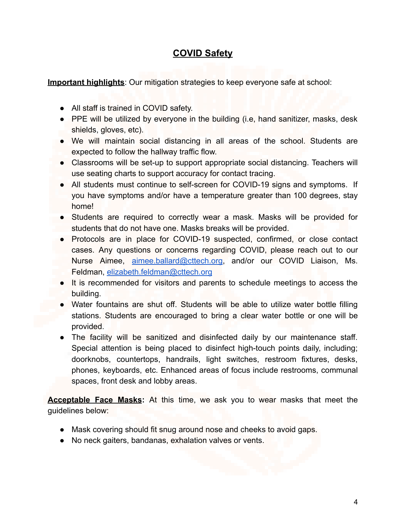# **COVID Safety**

**Important highlights**: Our mitigation strategies to keep everyone safe at school:

- All staff is trained in COVID safety.
- PPE will be utilized by everyone in the building (i.e, hand sanitizer, masks, desk shields, gloves, etc).
- We will maintain social distancing in all areas of the school. Students are expected to follow the hallway traffic flow.
- Classrooms will be set-up to support appropriate social distancing. Teachers will use seating charts to support accuracy for contact tracing.
- All students must continue to self-screen for COVID-19 signs and symptoms. If you have symptoms and/or have a temperature greater than 100 degrees, stay home!
- Students are required to correctly wear a mask. Masks will be provided for students that do not have one. Masks breaks will be provided.
- Protocols are in place for COVID-19 suspected, confirmed, or close contact cases. Any questions or concerns regarding COVID, please reach out to our Nurse Aimee, [aimee.ballard@cttech.org,](mailto:aimee.ballard@cttech.org) and/or our COVID Liaison, Ms. Feldman, [elizabeth.feldman@cttech.org](mailto:elizabeth.feldman@cttech.org)
- It is recommended for visitors and parents to schedule meetings to access the building.
- Water fountains are shut off. Students will be able to utilize water bottle filling stations. Students are encouraged to bring a clear water bottle or one will be provided.
- The facility will be sanitized and disinfected daily by our maintenance staff. Special attention is being placed to disinfect high-touch points daily, including; doorknobs, countertops, handrails, light switches, restroom fixtures, desks, phones, keyboards, etc. Enhanced areas of focus include restrooms, communal spaces, front desk and lobby areas.

**Acceptable Face Masks:** At this time, we ask you to wear masks that meet the guidelines below:

- Mask covering should fit snug around nose and cheeks to avoid gaps.
- No neck gaiters, bandanas, exhalation valves or vents.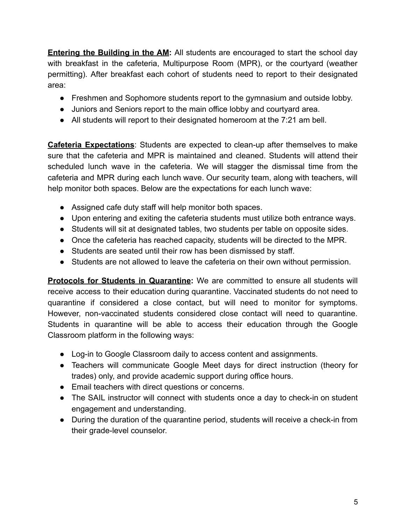**Entering the Building in the AM:** All students are encouraged to start the school day with breakfast in the cafeteria, Multipurpose Room (MPR), or the courtyard (weather permitting). After breakfast each cohort of students need to report to their designated area:

- Freshmen and Sophomore students report to the gymnasium and outside lobby.
- Juniors and Seniors report to the main office lobby and courtyard area.
- All students will report to their designated homeroom at the 7:21 am bell.

**Cafeteria Expectations**: Students are expected to clean-up after themselves to make sure that the cafeteria and MPR is maintained and cleaned. Students will attend their scheduled lunch wave in the cafeteria. We will stagger the dismissal time from the cafeteria and MPR during each lunch wave. Our security team, along with teachers, will help monitor both spaces. Below are the expectations for each lunch wave:

- Assigned cafe duty staff will help monitor both spaces.
- Upon entering and exiting the cafeteria students must utilize both entrance ways.
- Students will sit at designated tables, two students per table on opposite sides.
- Once the cafeteria has reached capacity, students will be directed to the MPR.
- Students are seated until their row has been dismissed by staff.
- Students are not allowed to leave the cafeteria on their own without permission.

**Protocols for Students in Quarantine:** We are committed to ensure all students will receive access to their education during quarantine. Vaccinated students do not need to quarantine if considered a close contact, but will need to monitor for symptoms. However, non-vaccinated students considered close contact will need to quarantine. Students in quarantine will be able to access their education through the Google Classroom platform in the following ways:

- Log-in to Google Classroom daily to access content and assignments.
- Teachers will communicate Google Meet days for direct instruction (theory for trades) only, and provide academic support during office hours.
- Email teachers with direct questions or concerns.
- The SAIL instructor will connect with students once a day to check-in on student engagement and understanding.
- During the duration of the quarantine period, students will receive a check-in from their grade-level counselor.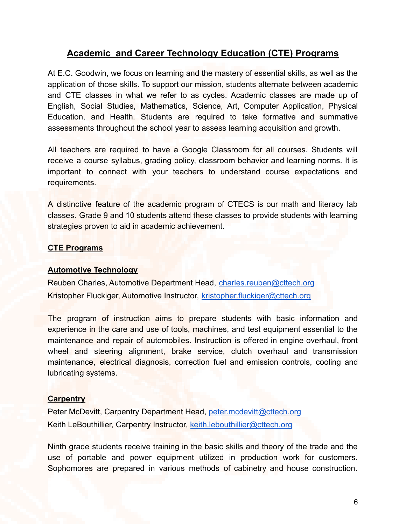### **Academic and Career Technology Education (CTE) Programs**

At E.C. Goodwin, we focus on learning and the mastery of essential skills, as well as the application of those skills. To support our mission, students alternate between academic and CTE classes in what we refer to as cycles. Academic classes are made up of English, Social Studies, Mathematics, Science, Art, Computer Application, Physical Education, and Health. Students are required to take formative and summative assessments throughout the school year to assess learning acquisition and growth.

All teachers are required to have a Google Classroom for all courses. Students will receive a course syllabus, grading policy, classroom behavior and learning norms. It is important to connect with your teachers to understand course expectations and requirements.

A distinctive feature of the academic program of CTECS is our math and literacy lab classes. Grade 9 and 10 students attend these classes to provide students with learning strategies proven to aid in academic achievement.

#### **CTE Programs**

#### **Automotive Technology**

Reuben Charles, Automotive Department Head, [charles.reuben@cttech.org](mailto:charles.reuben@cttech.org) Kristopher Fluckiger, Automotive Instructor, [kristopher.fluckiger@cttech.org](mailto:kristopher.fluckiger@cttech.org)

The program of instruction aims to prepare students with basic information and experience in the care and use of tools, machines, and test equipment essential to the maintenance and repair of automobiles. Instruction is offered in engine overhaul, front wheel and steering alignment, brake service, clutch overhaul and transmission maintenance, electrical diagnosis, correction fuel and emission controls, cooling and lubricating systems.

#### **Carpentry**

Peter McDevitt, Carpentry Department Head, [peter.mcdevitt@cttech.org](mailto:peter.mcdevitt@cttech.org) Keith LeBouthillier, Carpentry Instructor, [keith.lebouthillier@cttech.org](mailto:keith.lebouthillier@cttech.org)

Ninth grade students receive training in the basic skills and theory of the trade and the use of portable and power equipment utilized in production work for customers. Sophomores are prepared in various methods of cabinetry and house construction.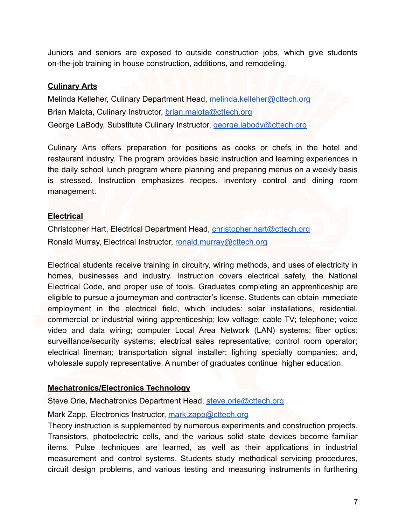Juniors and seniors are exposed to outside construction jobs, which give students on-the-job training in house construction, additions, and remodeling.

#### **Culinary Arts**

Melinda Kelleher, Culinary Department Head, [melinda.kelleher@cttech.org](mailto:melinda.kelleher@cttech.org) Brian Malota, Culinary Instructor, [brian.malota@cttech.org](mailto:brian.malota@cttech.org) George LaBody, Substitute Culinary Instructor, [george.labody@cttech.org](mailto:george.labody@cttech.org)

Culinary Arts offers preparation for positions as cooks or chefs in the hotel and restaurant industry. The program provides basic instruction and learning experiences in the daily school lunch program where planning and preparing menus on a weekly basis is stressed. Instruction emphasizes recipes, inventory control and dining room management.

#### **Electrical**

Christopher Hart, Electrical Department Head, [christopher.hart@cttech.org](mailto:christopher.hart@cttech.org) Ronald Murray, Electrical Instructor, [ronald.murray@cttech.org](mailto:ronald.murray@cttech.org)

Electrical students receive training in circuitry, wiring methods, and uses of electricity in homes, businesses and industry. Instruction covers electrical safety, the National Electrical Code, and proper use of tools. Graduates completing an apprenticeship are eligible to pursue a journeyman and contractor's license. Students can obtain immediate employment in the electrical field, which includes: solar installations, residential, commercial or industrial wiring apprenticeship; low voltage; cable TV; telephone; voice video and data wiring; computer Local Area Network (LAN) systems; fiber optics; surveillance/security systems; electrical sales representative; control room operator; electrical lineman; transportation signal installer; lighting specialty companies; and, wholesale supply representative. A number of graduates continue higher education.

#### **Mechatronics/Electronics Technology**

Steve Orie, Mechatronics Department Head, [steve.orie@cttech.org](mailto:steve.orie@cttech.org)

Mark Zapp, Electronics Instructor, [mark.zapp@cttech.org](mailto:mark.zapp@cttech.org)

Theory instruction is supplemented by numerous experiments and construction projects. Transistors, photoelectric cells, and the various solid state devices become familiar items. Pulse techniques are learned, as well as their applications in industrial measurement and control systems. Students study methodical servicing procedures, circuit design problems, and various testing and measuring instruments in furthering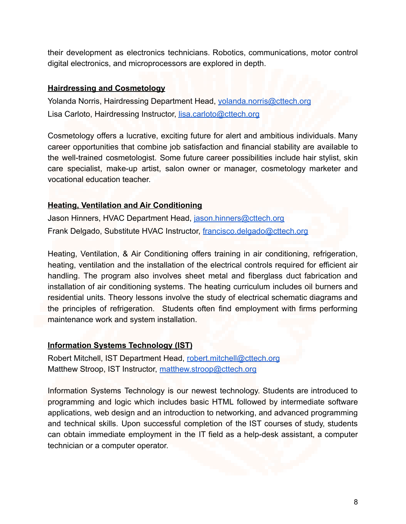their development as electronics technicians. Robotics, communications, motor control digital electronics, and microprocessors are explored in depth.

#### **Hairdressing and Cosmetology**

Yolanda Norris, Hairdressing Department Head, [yolanda.norris@cttech.org](mailto:yolanda.norris@cttech.org) Lisa Carloto, Hairdressing Instructor, [lisa.carloto@cttech.org](mailto:lisa.carloto@cttech.org)

Cosmetology offers a lucrative, exciting future for alert and ambitious individuals. Many career opportunities that combine job satisfaction and financial stability are available to the well-trained cosmetologist. Some future career possibilities include hair stylist, skin care specialist, make-up artist, salon owner or manager, cosmetology marketer and vocational education teacher.

#### **Heating, Ventilation and Air Conditioning**

Jason Hinners, HVAC Department Head, [jason.hinners@cttech.org](mailto:jason.hinners@cttech.org) Frank Delgado, Substitute HVAC Instructor, [francisco.delgado@cttech.org](mailto:francisco.delgado@cttech.org)

Heating, Ventilation, & Air Conditioning offers training in air conditioning, refrigeration, heating, ventilation and the installation of the electrical controls required for efficient air handling. The program also involves sheet metal and fiberglass duct fabrication and installation of air conditioning systems. The heating curriculum includes oil burners and residential units. Theory lessons involve the study of electrical schematic diagrams and the principles of refrigeration. Students often find employment with firms performing maintenance work and system installation.

#### **Information Systems Technology (IST)**

Robert Mitchell, IST Department Head, [robert.mitchell@cttech.org](mailto:robert.mitchell@cttech.org) Matthew Stroop, IST Instructor, [matthew.stroop@cttech.org](mailto:matthew.stroop@cttech.org)

Information Systems Technology is our newest technology. Students are introduced to programming and logic which includes basic HTML followed by intermediate software applications, web design and an introduction to networking, and advanced programming and technical skills. Upon successful completion of the IST courses of study, students can obtain immediate employment in the IT field as a help-desk assistant, a computer technician or a computer operator.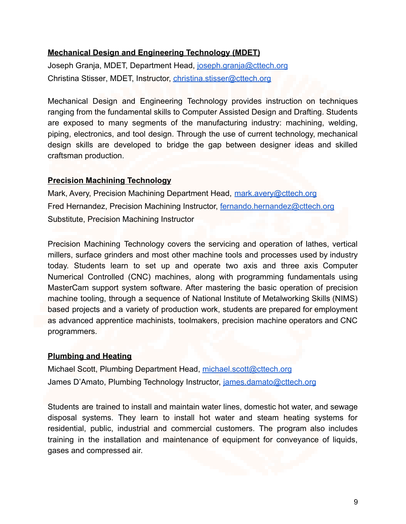#### **Mechanical Design and Engineering Technology (MDET)**

Joseph Granja, MDET, Department Head, [joseph.granja@cttech.org](mailto:joseph.granja@cttech.org) Christina Stisser, MDET, Instructor, [christina.stisser@cttech.org](mailto:christina.stisser@cttech.org)

Mechanical Design and Engineering Technology provides instruction on techniques ranging from the fundamental skills to Computer Assisted Design and Drafting. Students are exposed to many segments of the manufacturing industry: machining, welding, piping, electronics, and tool design. Through the use of current technology, mechanical design skills are developed to bridge the gap between designer ideas and skilled craftsman production.

#### **Precision Machining Technology**

Mark, Avery, Precision Machining Department Head, [mark.avery@cttech.org](mailto:mark.avery@cttech.org) Fred Hernandez, Precision Machining Instructor, [fernando.hernandez@cttech.org](mailto:fernando.hernandez@cttech.org) Substitute, Precision Machining Instructor

Precision Machining Technology covers the servicing and operation of lathes, vertical millers, surface grinders and most other machine tools and processes used by industry today. Students learn to set up and operate two axis and three axis Computer Numerical Controlled (CNC) machines, along with programming fundamentals using MasterCam support system software. After mastering the basic operation of precision machine tooling, through a sequence of National Institute of Metalworking Skills (NIMS) based projects and a variety of production work, students are prepared for employment as advanced apprentice machinists, toolmakers, precision machine operators and CNC programmers.

#### **Plumbing and Heating**

Michael Scott, Plumbing Department Head, [michael.scott@cttech.org](mailto:michael.scott@cttech.org) James D'Amato, Plumbing Technology Instructor, [james.damato@cttech.org](mailto:james.damato@cttech.org)

Students are trained to install and maintain water lines, domestic hot water, and sewage disposal systems. They learn to install hot water and steam heating systems for residential, public, industrial and commercial customers. The program also includes training in the installation and maintenance of equipment for conveyance of liquids, gases and compressed air.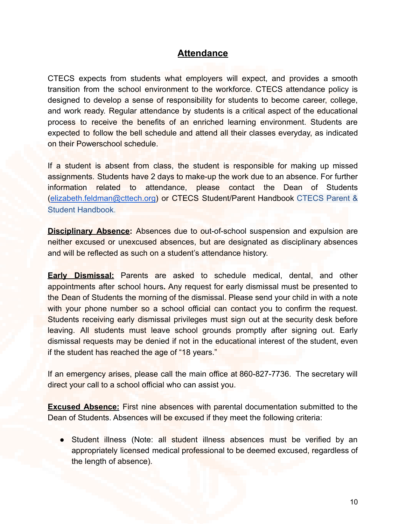### **Attendance**

CTECS expects from students what employers will expect, and provides a smooth transition from the school environment to the workforce. CTECS attendance policy is designed to develop a sense of responsibility for students to become career, college, and work ready. Regular attendance by students is a critical aspect of the educational process to receive the benefits of an enriched learning environment. Students are expected to follow the bell schedule and attend all their classes everyday, as indicated on their Powerschool schedule.

If a student is absent from class, the student is responsible for making up missed assignments. Students have 2 days to make-up the work due to an absence. For further information related to attendance, please contact the Dean of Students ([elizabeth.feldman@cttech.org\)](mailto:elizabeth.feldman@cttech.org) or CTECS Student/Parent Handbook [CTECS](https://www.cttech.org/wp-content/uploads/2021/08/21-22-Student-Parent-Handbook_FINAL.pdf) Parent & [Student Handbook](https://www.cttech.org/wp-content/uploads/2021/08/21-22-Student-Parent-Handbook_FINAL.pdf).

**Disciplinary Absence:** Absences due to out-of-school suspension and expulsion are neither excused or unexcused absences, but are designated as disciplinary absences and will be reflected as such on a student's attendance history.

**Early Dismissal:** Parents are asked to schedule medical, dental, and other appointments after school hours**.** Any request for early dismissal must be presented to the Dean of Students the morning of the dismissal. Please send your child in with a note with your phone number so a school official can contact you to confirm the request. Students receiving early dismissal privileges must sign out at the security desk before leaving. All students must leave school grounds promptly after signing out. Early dismissal requests may be denied if not in the educational interest of the student, even if the student has reached the age of "18 years."

If an emergency arises, please call the main office at 860-827-7736. The secretary will direct your call to a school official who can assist you.

**Excused Absence:** First nine absences with parental documentation submitted to the Dean of Students. Absences will be excused if they meet the following criteria:

• Student illness (Note: all student illness absences must be verified by an appropriately licensed medical professional to be deemed excused, regardless of the length of absence).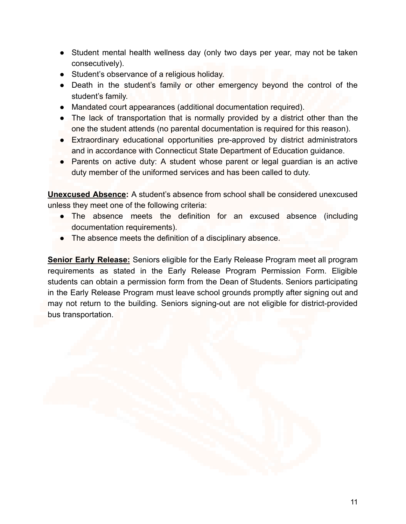- Student mental health wellness day (only two days per year, may not be taken consecutively).
- Student's observance of a religious holiday.
- Death in the student's family or other emergency beyond the control of the student's family.
- Mandated court appearances (additional documentation required).
- The lack of transportation that is normally provided by a district other than the one the student attends (no parental documentation is required for this reason).
- Extraordinary educational opportunities pre-approved by district administrators and in accordance with Connecticut State Department of Education guidance.
- Parents on active duty: A student whose parent or legal guardian is an active duty member of the uniformed services and has been called to duty.

**Unexcused Absence:** A student's absence from school shall be considered unexcused unless they meet one of the following criteria:

- The absence meets the definition for an excused absence (including documentation requirements).
- The absence meets the definition of a disciplinary absence.

**Senior Early Release:** Seniors eligible for the Early Release Program meet all program requirements as stated in the Early Release Program Permission Form. Eligible students can obtain a permission form from the Dean of Students. Seniors participating in the Early Release Program must leave school grounds promptly after signing out and may not return to the building. Seniors signing-out are not eligible for district-provided bus transportation.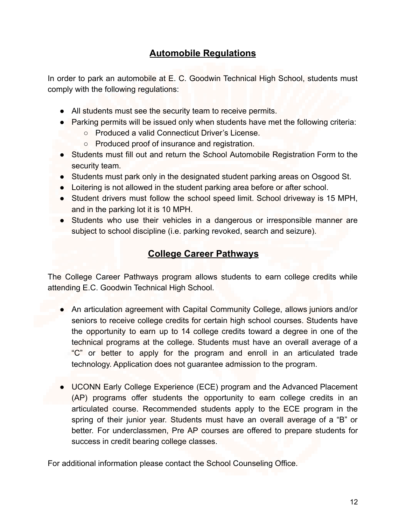# **Automobile Regulations**

In order to park an automobile at E. C. Goodwin Technical High School, students must comply with the following regulations:

- All students must see the security team to receive permits.
- Parking permits will be issued only when students have met the following criteria:
	- Produced a valid Connecticut Driver's License.
	- Produced proof of insurance and registration.
- Students must fill out and return the School Automobile Registration Form to the security team.
- Students must park only in the designated student parking areas on Osgood St.
- Loitering is not allowed in the student parking area before or after school.
- Student drivers must follow the school speed limit. School driveway is 15 MPH, and in the parking lot it is 10 MPH.
- Students who use their vehicles in a dangerous or irresponsible manner are subject to school discipline (i.e. parking revoked, search and seizure).

# **College Career Pathways**

The College Career Pathways program allows students to earn college credits while attending E.C. Goodwin Technical High School.

- An articulation agreement with Capital Community College, allows juniors and/or seniors to receive college credits for certain high school courses. Students have the opportunity to earn up to 14 college credits toward a degree in one of the technical programs at the college. Students must have an overall average of a "C" or better to apply for the program and enroll in an articulated trade technology. Application does not guarantee admission to the program.
- UCONN Early College Experience (ECE) program and the Advanced Placement (AP) programs offer students the opportunity to earn college credits in an articulated course. Recommended students apply to the ECE program in the spring of their junior year. Students must have an overall average of a "B" or better. For underclassmen, Pre AP courses are offered to prepare students for success in credit bearing college classes.

For additional information please contact the School Counseling Office.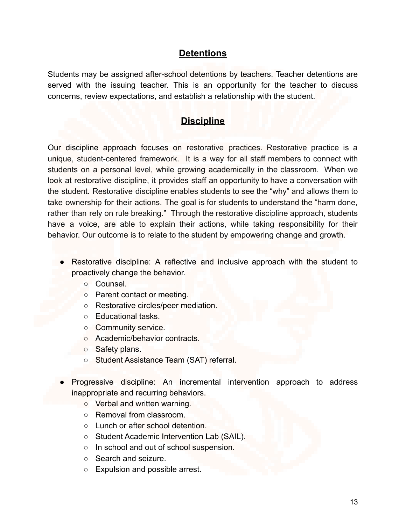## **Detentions**

Students may be assigned after-school detentions by teachers. Teacher detentions are served with the issuing teacher. This is an opportunity for the teacher to discuss concerns, review expectations, and establish a relationship with the student.

# **Discipline**

Our discipline approach focuses on restorative practices. Restorative practice is a unique, student-centered framework. It is a way for all staff members to connect with students on a personal level, while growing academically in the classroom. When we look at restorative discipline, it provides staff an opportunity to have a conversation with the student. Restorative discipline enables students to see the "why" and allows them to take ownership for their actions. The goal is for students to understand the "harm done, rather than rely on rule breaking." Through the restorative discipline approach, students have a voice, are able to explain their actions, while taking responsibility for their behavior. Our outcome is to relate to the student by empowering change and growth.

- Restorative discipline: A reflective and inclusive approach with the student to proactively change the behavior.
	- Counsel.
	- Parent contact or meeting.
	- Restorative circles/peer mediation.
	- Educational tasks.
	- Community service.
	- Academic/behavior contracts.
	- Safety plans.
	- Student Assistance Team (SAT) referral.
- Progressive discipline: An incremental intervention approach to address inappropriate and recurring behaviors.
	- Verbal and written warning.
	- Removal from classroom.
	- Lunch or after school detention.
	- Student Academic Intervention Lab (SAIL).
	- In school and out of school suspension.
	- Search and seizure.
	- Expulsion and possible arrest.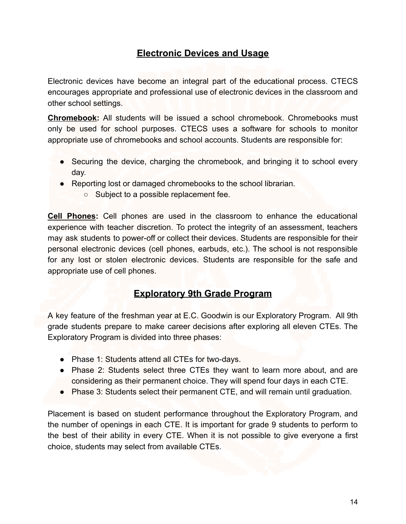# **Electronic Devices and Usage**

Electronic devices have become an integral part of the educational process. CTECS encourages appropriate and professional use of electronic devices in the classroom and other school settings.

**Chromebook:** All students will be issued a school chromebook. Chromebooks must only be used for school purposes. CTECS uses a software for schools to monitor appropriate use of chromebooks and school accounts. Students are responsible for:

- Securing the device, charging the chromebook, and bringing it to school every day.
- Reporting lost or damaged chromebooks to the school librarian.
	- Subject to a possible replacement fee.

**Cell Phones:** Cell phones are used in the classroom to enhance the educational experience with teacher discretion. To protect the integrity of an assessment, teachers may ask students to power-off or collect their devices. Students are responsible for their personal electronic devices (cell phones, earbuds, etc.). The school is not responsible for any lost or stolen electronic devices. Students are responsible for the safe and appropriate use of cell phones.

## **Exploratory 9th Grade Program**

A key feature of the freshman year at E.C. Goodwin is our Exploratory Program. All 9th grade students prepare to make career decisions after exploring all eleven CTEs. The Exploratory Program is divided into three phases:

- Phase 1: Students attend all CTEs for two-days.
- Phase 2: Students select three CTEs they want to learn more about, and are considering as their permanent choice. They will spend four days in each CTE.
- Phase 3: Students select their permanent CTE, and will remain until graduation.

Placement is based on student performance throughout the Exploratory Program, and the number of openings in each CTE. It is important for grade 9 students to perform to the best of their ability in every CTE. When it is not possible to give everyone a first choice, students may select from available CTEs.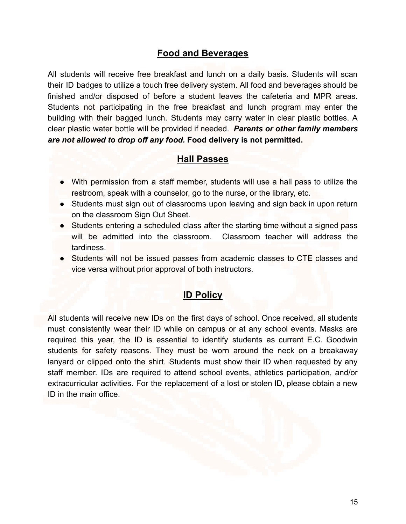## **Food and Beverages**

All students will receive free breakfast and lunch on a daily basis. Students will scan their ID badges to utilize a touch free delivery system. All food and beverages should be finished and/or disposed of before a student leaves the cafeteria and MPR areas. Students not participating in the free breakfast and lunch program may enter the building with their bagged lunch. Students may carry water in clear plastic bottles. A clear plastic water bottle will be provided if needed. *Parents or other family members are not allowed to drop off any food.* **Food delivery is not permitted.**

### **Hall Passes**

- With permission from a staff member, students will use a hall pass to utilize the restroom, speak with a counselor, go to the nurse, or the library, etc.
- Students must sign out of classrooms upon leaving and sign back in upon return on the classroom Sign Out Sheet.
- Students entering a scheduled class after the starting time without a signed pass will be admitted into the classroom. Classroom teacher will address the tardiness.
- Students will not be issued passes from academic classes to CTE classes and vice versa without prior approval of both instructors.

## **ID Policy**

All students will receive new IDs on the first days of school. Once received, all students must consistently wear their ID while on campus or at any school events. Masks are required this year, the ID is essential to identify students as current E.C. Goodwin students for safety reasons. They must be worn around the neck on a breakaway lanyard or clipped onto the shirt. Students must show their ID when requested by any staff member. IDs are required to attend school events, athletics participation, and/or extracurricular activities. For the replacement of a lost or stolen ID, please obtain a new ID in the main office.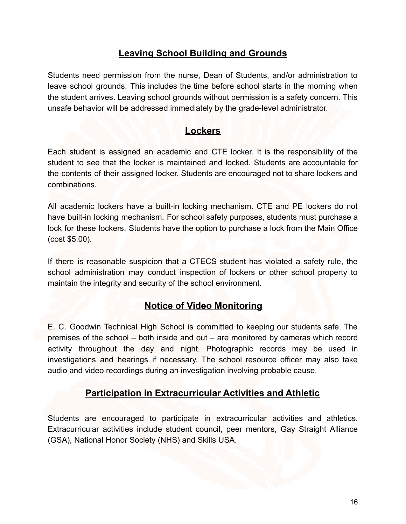# **Leaving School Building and Grounds**

Students need permission from the nurse, Dean of Students, and/or administration to leave school grounds. This includes the time before school starts in the morning when the student arrives. Leaving school grounds without permission is a safety concern. This unsafe behavior will be addressed immediately by the grade-level administrator.

### **Lockers**

Each student is assigned an academic and CTE locker. It is the responsibility of the student to see that the locker is maintained and locked. Students are accountable for the contents of their assigned locker. Students are encouraged not to share lockers and combinations.

All academic lockers have a built-in locking mechanism. CTE and PE lockers do not have built-in locking mechanism. For school safety purposes, students must purchase a lock for these lockers. Students have the option to purchase a lock from the Main Office (cost \$5.00).

If there is reasonable suspicion that a CTECS student has violated a safety rule, the school administration may conduct inspection of lockers or other school property to maintain the integrity and security of the school environment.

## **Notice of Video Monitoring**

E. C. Goodwin Technical High School is committed to keeping our students safe. The premises of the school – both inside and out – are monitored by cameras which record activity throughout the day and night. Photographic records may be used in investigations and hearings if necessary. The school resource officer may also take audio and video recordings during an investigation involving probable cause.

## **Participation in Extracurricular Activities and Athletic**

Students are encouraged to participate in extracurricular activities and athletics. Extracurricular activities include student council, peer mentors, Gay Straight Alliance (GSA), National Honor Society (NHS) and Skills USA.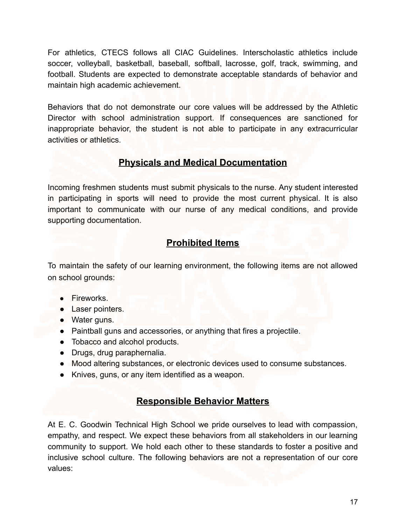For athletics, CTECS follows all CIAC Guidelines. Interscholastic athletics include soccer, volleyball, basketball, baseball, softball, lacrosse, golf, track, swimming, and football. Students are expected to demonstrate acceptable standards of behavior and maintain high academic achievement.

Behaviors that do not demonstrate our core values will be addressed by the Athletic Director with school administration support. If consequences are sanctioned for inappropriate behavior, the student is not able to participate in any extracurricular activities or athletics.

## **Physicals and Medical Documentation**

Incoming freshmen students must submit physicals to the nurse. Any student interested in participating in sports will need to provide the most current physical. It is also important to communicate with our nurse of any medical conditions, and provide supporting documentation.

# **Prohibited Items**

To maintain the safety of our learning environment, the following items are not allowed on school grounds:

- Fireworks.
- Laser pointers.
- Water guns.
- Paintball guns and accessories, or anything that fires a projectile.
- Tobacco and alcohol products.
- Drugs, drug paraphernalia.
- Mood altering substances, or electronic devices used to consume substances.
- Knives, guns, or any item identified as a weapon.

# **Responsible Behavior Matters**

At E. C. Goodwin Technical High School we pride ourselves to lead with compassion, empathy, and respect. We expect these behaviors from all stakeholders in our learning community to support. We hold each other to these standards to foster a positive and inclusive school culture. The following behaviors are not a representation of our core values: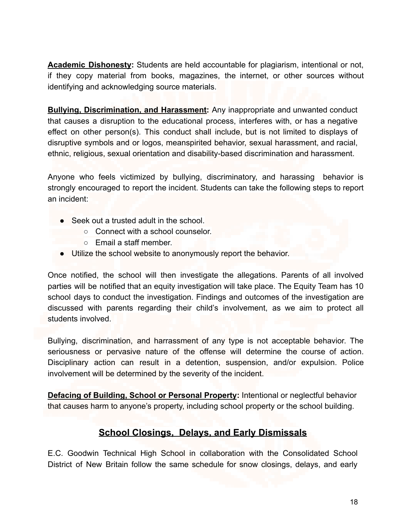**Academic Dishonesty:** Students are held accountable for plagiarism, intentional or not, if they copy material from books, magazines, the internet, or other sources without identifying and acknowledging source materials.

**Bullying, Discrimination, and Harassment:** Any inappropriate and unwanted conduct that causes a disruption to the educational process, interferes with, or has a negative effect on other person(s). This conduct shall include, but is not limited to displays of disruptive symbols and or logos, meanspirited behavior, sexual harassment, and racial, ethnic, religious, sexual orientation and disability-based discrimination and harassment.

Anyone who feels victimized by bullying, discriminatory, and harassing behavior is strongly encouraged to report the incident. Students can take the following steps to report an incident:

- Seek out a trusted adult in the school
	- Connect with a school counselor.
	- Email a staff member.
- Utilize the school website to anonymously report the behavior.

Once notified, the school will then investigate the allegations. Parents of all involved parties will be notified that an equity investigation will take place. The Equity Team has 10 school days to conduct the investigation. Findings and outcomes of the investigation are discussed with parents regarding their child's involvement, as we aim to protect all students involved.

Bullying, discrimination, and harrassment of any type is not acceptable behavior. The seriousness or pervasive nature of the offense will determine the course of action. Disciplinary action can result in a detention, suspension, and/or expulsion. Police involvement will be determined by the severity of the incident.

**Defacing of Building, School or Personal Property:** Intentional or neglectful behavior that causes harm to anyone's property, including school property or the school building.

# **School Closings, Delays, and Early Dismissals**

E.C. Goodwin Technical High School in collaboration with the Consolidated School District of New Britain follow the same schedule for snow closings, delays, and early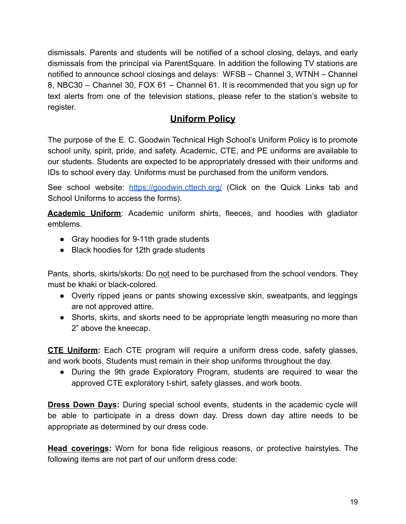dismissals. Parents and students will be notified of a school closing, delays, and early dismissals from the principal via ParentSquare. In addition the following TV stations are notified to announce school closings and delays: WFSB – Channel 3, WTNH – Channel 8, NBC30 – Channel 30, FOX 61 – Channel 61. It is recommended that you sign up for text alerts from one of the television stations, please refer to the station's website to register.

# **Uniform Policy**

The purpose of the E. C. Goodwin Technical High School's Uniform Policy is to promote school unity, spirit, pride, and safety. Academic, CTE, and PE uniforms are available to our students. Students are expected to be appropriately dressed with their uniforms and IDs to school every day. Uniforms must be purchased from the uniform vendors.

See school website: <https://goodwin.cttech.org/> (Click on the Quick Links tab and School Uniforms to access the forms).

**Academic Uniform**: Academic uniform shirts, fleeces, and hoodies with gladiator emblems.

- Gray hoodies for 9-11th grade students
- Black hoodies for 12th grade students

Pants, shorts, skirts/skorts: Do not need to be purchased from the school vendors. They must be khaki or black-colored.

- Overly ripped jeans or pants showing excessive skin, sweatpants, and leggings are not approved attire.
- Shorts, skirts, and skorts need to be appropriate length measuring no more than 2" above the kneecap.

**CTE Uniform:** Each CTE program will require a uniform dress code, safety glasses, and work boots. Students must remain in their shop uniforms throughout the day.

• During the 9th grade Exploratory Program, students are required to wear the approved CTE exploratory t-shirt, safety glasses, and work boots.

**Dress Down Days:** During special school events, students in the academic cycle will be able to participate in a dress down day. Dress down day attire needs to be appropriate as determined by our dress code.

**Head coverings:** Worn for bona fide religious reasons, or protective hairstyles. The following items are not part of our uniform dress code: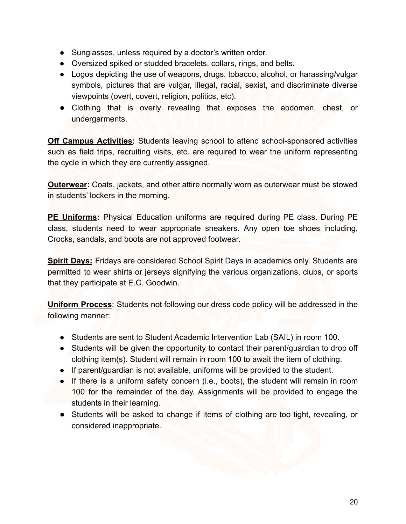- Sunglasses, unless required by a doctor's written order.
- Oversized spiked or studded bracelets, collars, rings, and belts.
- Logos depicting the use of weapons, drugs, tobacco, alcohol, or harassing/vulgar symbols, pictures that are vulgar, illegal, racial, sexist, and discriminate diverse viewpoints (overt, covert, religion, politics, etc).
- Clothing that is overly revealing that exposes the abdomen, chest, or undergarments.

**Off Campus Activities:** Students leaving school to attend school-sponsored activities such as field trips, recruiting visits, etc. are required to wear the uniform representing the cycle in which they are currently assigned.

**Outerwear:** Coats, jackets, and other attire normally worn as outerwear must be stowed in students' lockers in the morning.

**PE Uniforms:** Physical Education uniforms are required during PE class. During PE class, students need to wear appropriate sneakers. Any open toe shoes including, Crocks, sandals, and boots are not approved footwear.

**Spirit Days:** Fridays are considered School Spirit Days in academics only. Students are permitted to wear shirts or jerseys signifying the various organizations, clubs, or sports that they participate at E.C. Goodwin.

**Uniform Process**: Students not following our dress code policy will be addressed in the following manner:

- Students are sent to Student Academic Intervention Lab (SAIL) in room 100.
- Students will be given the opportunity to contact their parent/guardian to drop off clothing item(s). Student will remain in room 100 to await the item of clothing.
- If parent/guardian is not available, uniforms will be provided to the student.
- If there is a uniform safety concern (i.e., boots), the student will remain in room 100 for the remainder of the day. Assignments will be provided to engage the students in their learning.
- Students will be asked to change if items of clothing are too tight, revealing, or considered inappropriate.